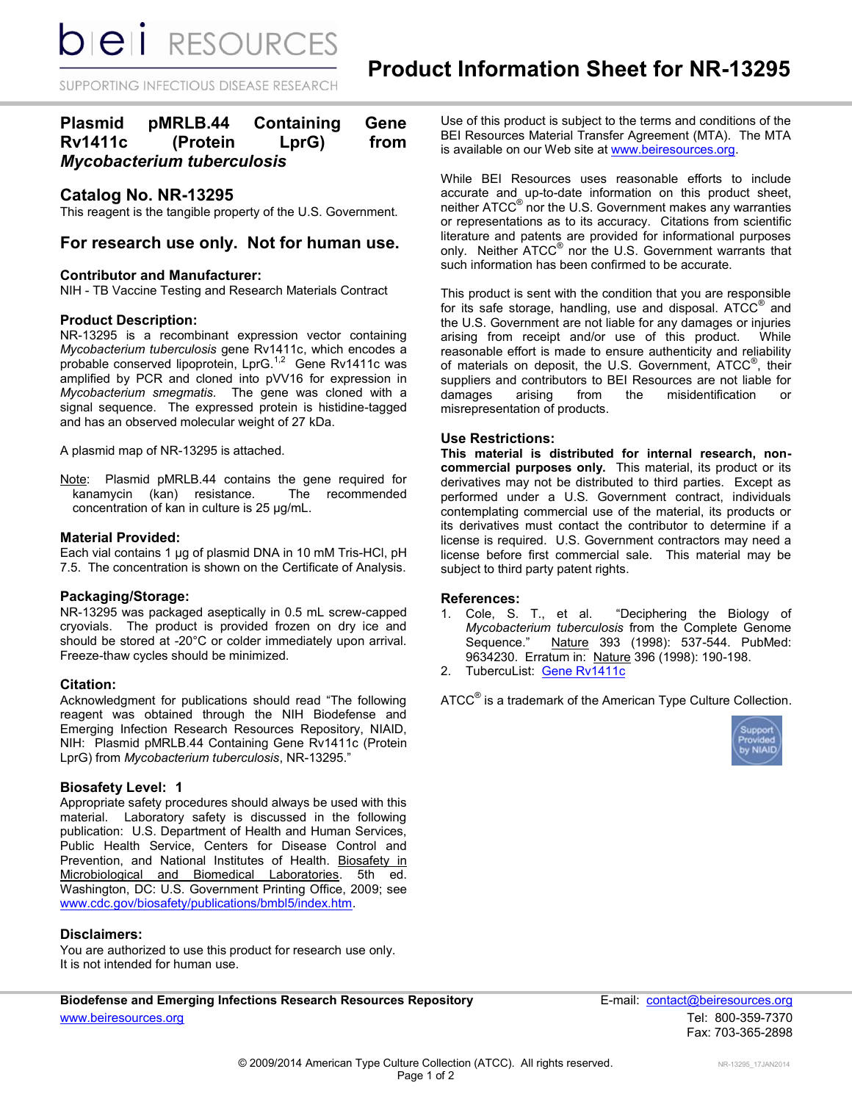**bieli** RESOURCES

SUPPORTING INFECTIOUS DISEASE RESEARCH

# **Plasmid pMRLB.44 Containing Gene Rv1411c (Protein LprG) from**  *Mycobacterium tuberculosis*

# **Catalog No. NR-13295**

This reagent is the tangible property of the U.S. Government.

## **For research use only. Not for human use.**

#### **Contributor and Manufacturer:**

NIH - TB Vaccine Testing and Research Materials Contract

#### **Product Description:**

NR-13295 is a recombinant expression vector containing *Mycobacterium tuberculosis* gene Rv1411c, which encodes a probable conserved lipoprotein, LprG.<sup>1,2</sup> Gene Rv1411c was amplified by PCR and cloned into pVV16 for expression in *Mycobacterium smegmatis.* The gene was cloned with a signal sequence. The expressed protein is histidine-tagged and has an observed molecular weight of 27 kDa.

A plasmid map of NR-13295 is attached.

Note: Plasmid pMRLB.44 contains the gene required for kanamycin (kan) resistance. The recommended concentration of kan in culture is 25 µg/mL.

### **Material Provided:**

Each vial contains 1 µg of plasmid DNA in 10 mM Tris-HCl, pH 7.5. The concentration is shown on the Certificate of Analysis.

#### **Packaging/Storage:**

NR-13295 was packaged aseptically in 0.5 mL screw-capped cryovials. The product is provided frozen on dry ice and should be stored at -20°C or colder immediately upon arrival. Freeze-thaw cycles should be minimized.

#### **Citation:**

Acknowledgment for publications should read "The following reagent was obtained through the NIH Biodefense and Emerging Infection Research Resources Repository, NIAID, NIH: Plasmid pMRLB.44 Containing Gene Rv1411c (Protein LprG) from *Mycobacterium tuberculosis*, NR-13295."

#### **Biosafety Level: 1**

Appropriate safety procedures should always be used with this material. Laboratory safety is discussed in the following publication: U.S. Department of Health and Human Services, Public Health Service, Centers for Disease Control and Prevention, and National Institutes of Health. Biosafety in Microbiological and Biomedical Laboratories. 5th ed. Washington, DC: U.S. Government Printing Office, 2009; see [www.cdc.gov/biosafety/publications/bmbl5/index.htm.](http://www.cdc.gov/biosafety/publications/bmbl5/index.htm)

#### **Disclaimers:**

You are authorized to use this product for research use only. It is not intended for human use.

Use of this product is subject to the terms and conditions of the BEI Resources Material Transfer Agreement (MTA). The MTA is available on our Web site at [www.beiresources.org.](http://www.beiresources.org/)

While BEI Resources uses reasonable efforts to include accurate and up-to-date information on this product sheet, neither ATCC<sup>®</sup> nor the U.S. Government makes any warranties or representations as to its accuracy. Citations from scientific literature and patents are provided for informational purposes only. Neither ATCC<sup>®</sup> nor the U.S. Government warrants that such information has been confirmed to be accurate.

This product is sent with the condition that you are responsible for its safe storage, handling, use and disposal.  $ATCC^@$  and the U.S. Government are not liable for any damages or injuries arising from receipt and/or use of this product. While reasonable effort is made to ensure authenticity and reliability of materials on deposit, the U.S. Government, ATCC®, their suppliers and contributors to BEI Resources are not liable for damages arising from the misidentification or misrepresentation of products.

### **Use Restrictions:**

**This material is distributed for internal research, noncommercial purposes only.** This material, its product or its derivatives may not be distributed to third parties. Except as performed under a U.S. Government contract, individuals contemplating commercial use of the material, its products or its derivatives must contact the contributor to determine if a license is required. U.S. Government contractors may need a license before first commercial sale. This material may be subject to third party patent rights.

#### **References:**

- 1. Cole, S. T., et al. "Deciphering the Biology of *Mycobacterium tuberculosis* from the Complete Genome Sequence." Nature 393 (1998): 537-544. PubMed: 9634230. Erratum in: Nature 396 (1998): 190-198.
- 2. TubercuList: [Gene Rv1411c](http://tuberculist.epfl.ch/quicksearch.php?gene+name=Rv1411c)

ATCC $^{\circ}$  is a trademark of the American Type Culture Collection.



Biodefense and Emerging Infections Research Resources Repository **Finally Secure 20** E-mail: **contact@beiresources.org** [www.beiresources.org](http://www.beiresources.org/)Tel: 800-359-7370